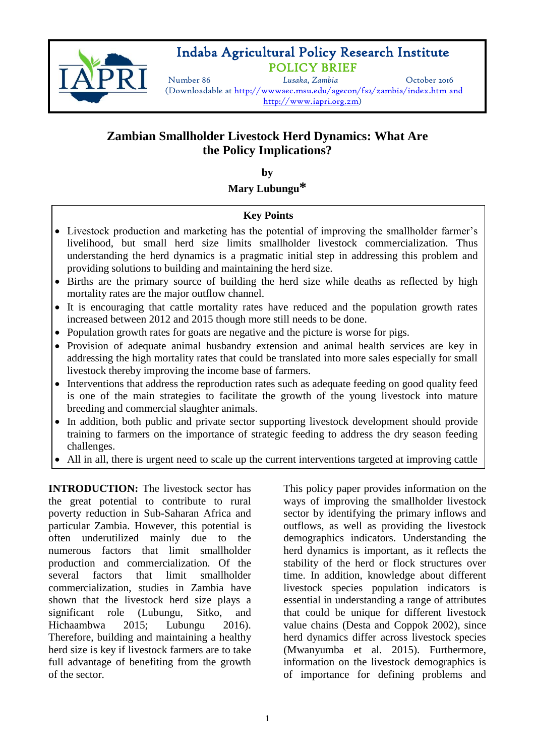

## Indaba Agricultural Policy Research Institute POLICY BRIEF

Number 86 *Lusaka, Zambia* October 2016 (Downloadable at <http://wwwaec.msu.edu/agecon/fs2/zambia/index.htm> and http://www.iapri.org.zm)

# **Zambian Smallholder Livestock Herd Dynamics: What Are the Policy Implications?**

**by**

**Mary Lubungu\***

#### **Key Points**

- Livestock production and marketing has the potential of improving the smallholder farmer's livelihood, but small herd size limits smallholder livestock commercialization. Thus understanding the herd dynamics is a pragmatic initial step in addressing this problem and providing solutions to building and maintaining the herd size.
- Births are the primary source of building the herd size while deaths as reflected by high mortality rates are the major outflow channel.
- It is encouraging that cattle mortality rates have reduced and the population growth rates increased between 2012 and 2015 though more still needs to be done.
- Population growth rates for goats are negative and the picture is worse for pigs.
- Provision of adequate animal husbandry extension and animal health services are key in addressing the high mortality rates that could be translated into more sales especially for small livestock thereby improving the income base of farmers.
- Interventions that address the reproduction rates such as adequate feeding on good quality feed is one of the main strategies to facilitate the growth of the young livestock into mature breeding and commercial slaughter animals.
- In addition, both public and private sector supporting livestock development should provide training to farmers on the importance of strategic feeding to address the dry season feeding challenges.
- All in all, there is urgent need to scale up the current interventions targeted at improving cattle

**INTRODUCTION:** The livestock sector has the great potential to contribute to rural poverty reduction in Sub-Saharan Africa and particular Zambia. However, this potential is often underutilized mainly due to the numerous factors that limit smallholder production and commercialization. Of the several factors that limit smallholder commercialization, studies in Zambia have shown that the livestock herd size plays a significant role (Lubungu, Sitko, and Hichaambwa 2015; Lubungu 2016). Therefore, building and maintaining a healthy herd size is key if livestock farmers are to take full advantage of benefiting from the growth of the sector.

health and extend such programs to other livestock such programs to other livestock species.

This policy paper provides information on the ways of improving the smallholder livestock sector by identifying the primary inflows and outflows, as well as providing the livestock demographics indicators. Understanding the herd dynamics is important, as it reflects the stability of the herd or flock structures over time. In addition, knowledge about different livestock species population indicators is essential in understanding a range of attributes that could be unique for different livestock value chains (Desta and Coppok 2002), since herd dynamics differ across livestock species (Mwanyumba et al. 2015). Furthermore, information on the livestock demographics is of importance for defining problems and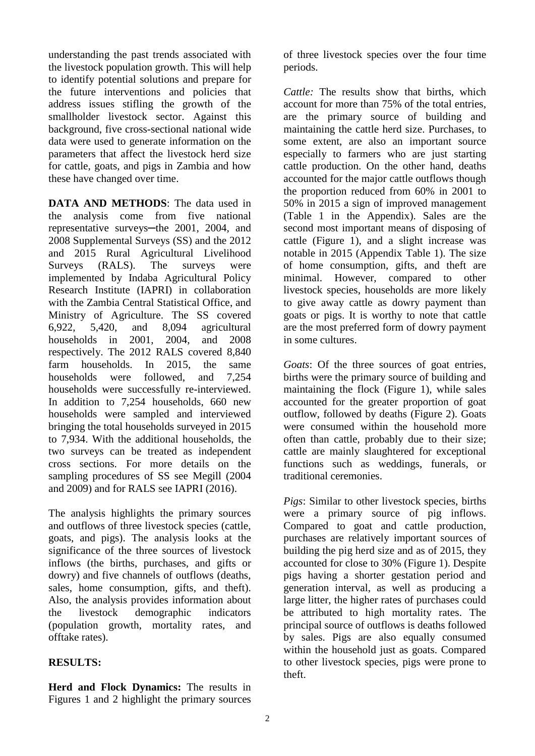understanding the past trends associated with the livestock population growth. This will help to identify potential solutions and prepare for the future interventions and policies that address issues stifling the growth of the smallholder livestock sector. Against this background, five cross-sectional national wide data were used to generate information on the parameters that affect the livestock herd size for cattle, goats, and pigs in Zambia and how these have changed over time.

**DATA AND METHODS**: The data used in the analysis come from five national representative surveys—the 2001, 2004, and 2008 Supplemental Surveys (SS) and the 2012 and 2015 Rural Agricultural Livelihood Surveys (RALS). The surveys were implemented by Indaba Agricultural Policy Research Institute (IAPRI) in collaboration with the Zambia Central Statistical Office, and Ministry of Agriculture. The SS covered 6,922, 5,420, and 8,094 agricultural households in 2001, 2004, and 2008 respectively. The 2012 RALS covered 8,840 farm households. In 2015, the same households were followed, and 7,254 households were successfully re-interviewed. In addition to 7,254 households, 660 new households were sampled and interviewed bringing the total households surveyed in 2015 to 7,934. With the additional households, the two surveys can be treated as independent cross sections. For more details on the sampling procedures of SS see Megill (2004 and 2009) and for RALS see IAPRI (2016).

The analysis highlights the primary sources and outflows of three livestock species (cattle, goats, and pigs). The analysis looks at the significance of the three sources of livestock inflows (the births, purchases, and gifts or dowry) and five channels of outflows (deaths, sales, home consumption, gifts, and theft). Also, the analysis provides information about the livestock demographic indicators (population growth, mortality rates, and offtake rates).

#### **RESULTS:**

**Herd and Flock Dynamics:** The results in Figures 1 and 2 highlight the primary sources

of three livestock species over the four time periods.

*Cattle:* The results show that births, which account for more than 75% of the total entries, are the primary source of building and maintaining the cattle herd size. Purchases, to some extent, are also an important source especially to farmers who are just starting cattle production. On the other hand, deaths accounted for the major cattle outflows though the proportion reduced from 60% in 2001 to 50% in 2015 a sign of improved management (Table 1 in the Appendix). Sales are the second most important means of disposing of cattle (Figure 1), and a slight increase was notable in 2015 (Appendix Table 1). The size of home consumption, gifts, and theft are minimal. However, compared to other livestock species, households are more likely to give away cattle as dowry payment than goats or pigs. It is worthy to note that cattle are the most preferred form of dowry payment in some cultures.

*Goats*: Of the three sources of goat entries, births were the primary source of building and maintaining the flock (Figure 1), while sales accounted for the greater proportion of goat outflow, followed by deaths (Figure 2). Goats were consumed within the household more often than cattle, probably due to their size; cattle are mainly slaughtered for exceptional functions such as weddings, funerals, or traditional ceremonies.

*Pigs*: Similar to other livestock species, births were a primary source of pig inflows. Compared to goat and cattle production, purchases are relatively important sources of building the pig herd size and as of 2015, they accounted for close to 30% (Figure 1). Despite pigs having a shorter gestation period and generation interval, as well as producing a large litter, the higher rates of purchases could be attributed to high mortality rates. The principal source of outflows is deaths followed by sales. Pigs are also equally consumed within the household just as goats. Compared to other livestock species, pigs were prone to theft.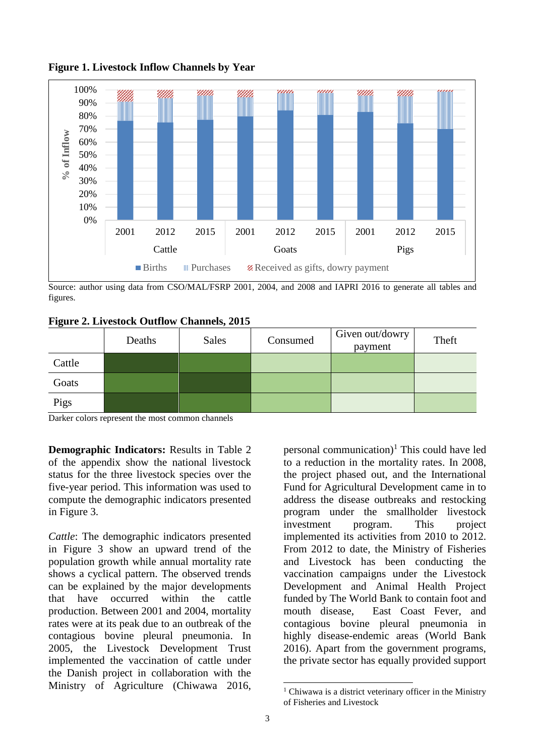

**Figure 1. Livestock Inflow Channels by Year**

Source: author using data from CSO/MAL/FSRP 2001, 2004, and 2008 and IAPRI 2016 to generate all tables and figures.

|  |  |  |  | <b>Figure 2. Livestock Outflow Channels, 2015</b> |  |
|--|--|--|--|---------------------------------------------------|--|
|--|--|--|--|---------------------------------------------------|--|

|        | Deaths | <b>Sales</b> | Consumed | Given out/dowry<br>payment | Theft |
|--------|--------|--------------|----------|----------------------------|-------|
| Cattle |        |              |          |                            |       |
| Goats  |        |              |          |                            |       |
| Pigs   |        |              |          |                            |       |

Darker colors represent the most common channels

**Demographic Indicators:** Results in Table 2 of the appendix show the national livestock status for the three livestock species over the five-year period. This information was used to compute the demographic indicators presented in Figure 3.

*Cattle*: The demographic indicators presented in Figure 3 show an upward trend of the population growth while annual mortality rate shows a cyclical pattern. The observed trends can be explained by the major developments that have occurred within the cattle production. Between 2001 and 2004, mortality rates were at its peak due to an outbreak of the contagious bovine pleural pneumonia. In 2005, the Livestock Development Trust implemented the vaccination of cattle under the Danish project in collaboration with the Ministry of Agriculture (Chiwawa 2016,

personal communication)<sup>1</sup> This could have led to a reduction in the mortality rates. In 2008, the project phased out, and the International Fund for Agricultural Development came in to address the disease outbreaks and restocking program under the smallholder livestock investment program. This project implemented its activities from 2010 to 2012. From 2012 to date, the Ministry of Fisheries and Livestock has been conducting the vaccination campaigns under the Livestock Development and Animal Health Project funded by The World Bank to contain foot and mouth disease, East Coast Fever, and contagious bovine pleural pneumonia in highly disease-endemic areas (World Bank 2016). Apart from the government programs, the private sector has equally provided support

l <sup>1</sup> Chiwawa is a district veterinary officer in the Ministry of Fisheries and Livestock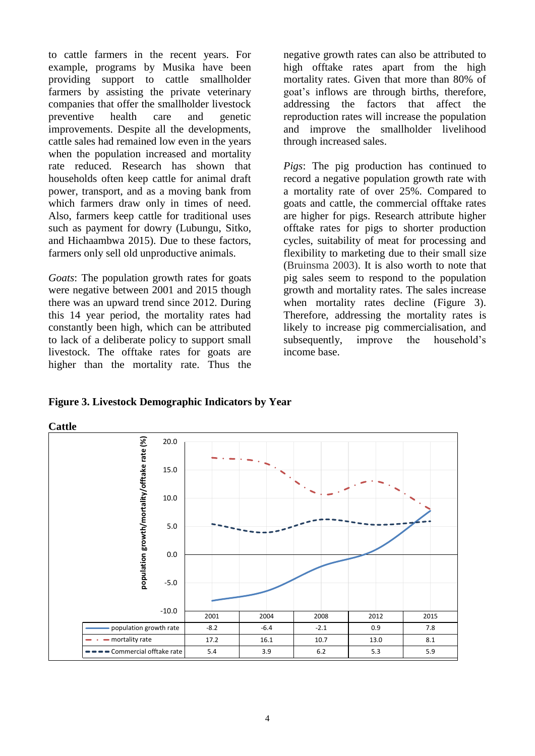to cattle farmers in the recent years. For example, programs by Musika have been providing support to cattle smallholder farmers by assisting the private veterinary companies that offer the smallholder livestock preventive health care and genetic improvements. Despite all the developments, cattle sales had remained low even in the years when the population increased and mortality rate reduced. Research has shown that households often keep cattle for animal draft power, transport, and as a moving bank from which farmers draw only in times of need. Also, farmers keep cattle for traditional uses such as payment for dowry (Lubungu, Sitko, and Hichaambwa 2015). Due to these factors, farmers only sell old unproductive animals.

*Goats*: The population growth rates for goats were negative between 2001 and 2015 though there was an upward trend since 2012. During this 14 year period, the mortality rates had constantly been high, which can be attributed to lack of a deliberate policy to support small livestock. The offtake rates for goats are higher than the mortality rate. Thus the

negative growth rates can also be attributed to high offtake rates apart from the high mortality rates. Given that more than 80% of goat's inflows are through births, therefore, addressing the factors that affect the reproduction rates will increase the population and improve the smallholder livelihood through increased sales.

*Pigs*: The pig production has continued to record a negative population growth rate with a mortality rate of over 25%. Compared to goats and cattle, the commercial offtake rates are higher for pigs. Research attribute higher offtake rates for pigs to shorter production cycles, suitability of meat for processing and flexibility to marketing due to their small size (Bruinsma 2003). It is also worth to note that pig sales seem to respond to the population growth and mortality rates. The sales increase when mortality rates decline (Figure 3). Therefore, addressing the mortality rates is likely to increase pig commercialisation, and subsequently, improve the household's income base.

**Figure 3. Livestock Demographic Indicators by Year**

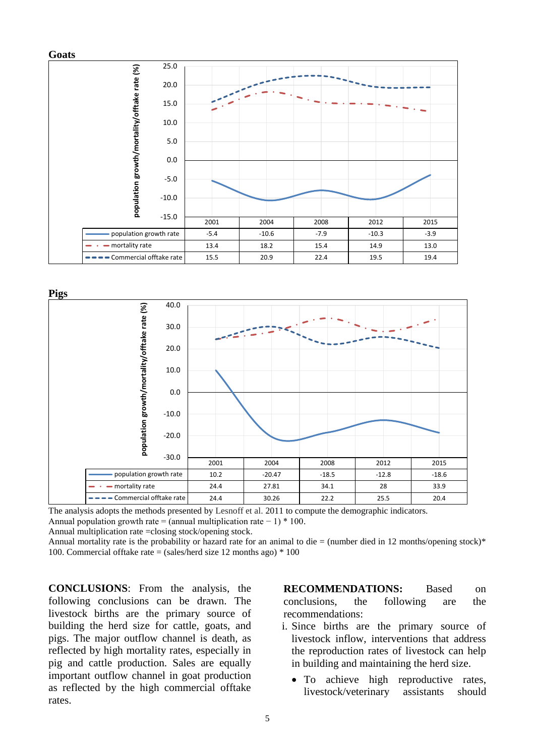



The analysis adopts the methods presented by Lesnoff et al. 2011 to compute the demographic indicators. Annual population growth rate = (annual multiplication rate  $-1$ ) \* 100.

Annual multiplication rate =closing stock/opening stock.

Annual mortality rate is the probability or hazard rate for an animal to die  $=$  (number died in 12 months/opening stock)\* 100. Commercial offtake rate = (sales/herd size 12 months ago)  $*$  100

**CONCLUSIONS**: From the analysis, the following conclusions can be drawn. The livestock births are the primary source of building the herd size for cattle, goats, and pigs. The major outflow channel is death, as reflected by high mortality rates, especially in pig and cattle production. Sales are equally important outflow channel in goat production as reflected by the high commercial offtake rates.

**RECOMMENDATIONS:** Based on conclusions, the following are the recommendations:

- i. Since births are the primary source of livestock inflow, interventions that address the reproduction rates of livestock can help in building and maintaining the herd size.
	- To achieve high reproductive rates, livestock/veterinary assistants should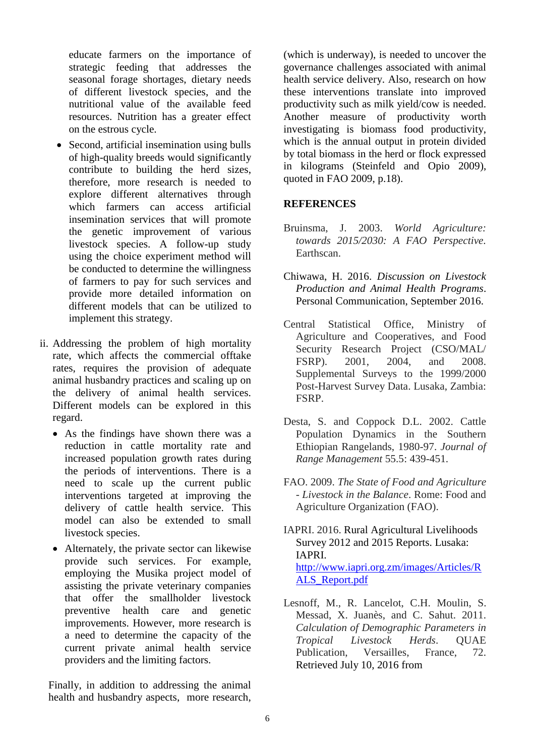educate farmers on the importance of strategic feeding that addresses the seasonal forage shortages, dietary needs of different livestock species, and the nutritional value of the available feed resources. Nutrition has a greater effect on the estrous cycle.

- Second, artificial insemination using bulls of high-quality breeds would significantly contribute to building the herd sizes, therefore, more research is needed to explore different alternatives through which farmers can access artificial insemination services that will promote the genetic improvement of various livestock species. A follow-up study using the choice experiment method will be conducted to determine the willingness of farmers to pay for such services and provide more detailed information on different models that can be utilized to implement this strategy.
- ii. Addressing the problem of high mortality rate, which affects the commercial offtake rates, requires the provision of adequate animal husbandry practices and scaling up on the delivery of animal health services. Different models can be explored in this regard.
	- As the findings have shown there was a reduction in cattle mortality rate and increased population growth rates during the periods of interventions. There is a need to scale up the current public interventions targeted at improving the delivery of cattle health service. This model can also be extended to small livestock species.
	- Alternately, the private sector can likewise provide such services. For example, employing the Musika project model of assisting the private veterinary companies that offer the smallholder livestock preventive health care and genetic improvements. However, more research is a need to determine the capacity of the current private animal health service providers and the limiting factors.

Finally, in addition to addressing the animal health and husbandry aspects, more research, (which is underway), is needed to uncover the governance challenges associated with animal health service delivery. Also, research on how these interventions translate into improved productivity such as milk yield/cow is needed. Another measure of productivity worth investigating is biomass food productivity, which is the annual output in protein divided by total biomass in the herd or flock expressed in kilograms (Steinfeld and Opio 2009), quoted in FAO 2009, p.18).

#### **REFERENCES**

- Bruinsma, J. 2003. *World Agriculture: towards 2015/2030: A FAO Perspective.* Earthscan.
- Chiwawa, H. 2016. *Discussion on Livestock Production and Animal Health Programs*. Personal Communication, September 2016.
- Central Statistical Office, Ministry of Agriculture and Cooperatives, and Food Security Research Project (CSO/MAL/ FSRP). 2001, 2004, and 2008. Supplemental Surveys to the 1999/2000 Post-Harvest Survey Data. Lusaka, Zambia: FSRP.
- Desta, S. and Coppock D.L. 2002. Cattle Population Dynamics in the Southern Ethiopian Rangelands, 1980-97. *Journal of Range Management* 55.5: 439-451.
- FAO. 2009. *The State of Food and Agriculture - Livestock in the Balance*. Rome: Food and Agriculture Organization (FAO).
- IAPRI. 2016. Rural Agricultural Livelihoods Survey 2012 and 2015 Reports. Lusaka: IAPRI. [http://www.iapri.org.zm/images/Articles/R](http://www.iapri.org.zm/images/Articles/RALS_Report.pdf) [ALS\\_Report.pdf](http://www.iapri.org.zm/images/Articles/RALS_Report.pdf)
- Lesnoff, M., R. Lancelot, C.H. Moulin, S. Messad, X. Juanès, and C. Sahut. 2011. *Calculation of Demographic Parameters in Tropical Livestock Herds*. QUAE Publication, Versailles, France, 72. Retrieved July 10, 2016 from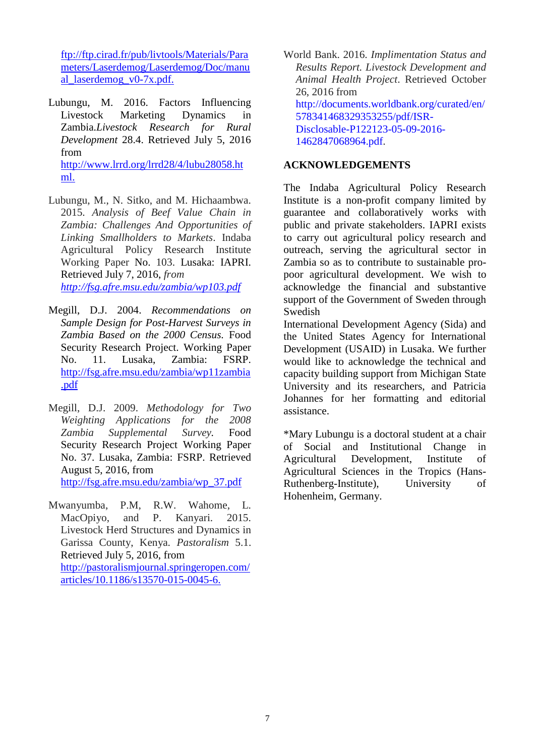[ftp://ftp.cirad.fr/pub/livtools/Materials/Para](ftp://ftp.cirad.fr/pub/livtools/Materials/Parameters/Laserdemog/Laserdemog/Doc/manual_laserdemog_v0-7x.pdf) [meters/Laserdemog/Laserdemog/Doc/manu](ftp://ftp.cirad.fr/pub/livtools/Materials/Parameters/Laserdemog/Laserdemog/Doc/manual_laserdemog_v0-7x.pdf) [al\\_laserdemog\\_v0-7x.pdf.](ftp://ftp.cirad.fr/pub/livtools/Materials/Parameters/Laserdemog/Laserdemog/Doc/manual_laserdemog_v0-7x.pdf)

- Lubungu, M. 2016. Factors Influencing Livestock Marketing Dynamics in Zambia.*Livestock Research for Rural Development* 28.4. Retrieved July 5, 2016 from [http://www.lrrd.org/lrrd28/4/lubu28058.ht](http://www.lrrd.org/lrrd28/4/lubu28058.html) [ml.](http://www.lrrd.org/lrrd28/4/lubu28058.html)
- Lubungu, M., N. Sitko, and M. Hichaambwa. 2015. *Analysis of Beef Value Chain in Zambia: Challenges And Opportunities of Linking Smallholders to Markets*. Indaba Agricultural Policy Research Institute Working Paper No. 103. Lusaka: IAPRI. Retrieved July 7, 2016, *from <http://fsg.afre.msu.edu/zambia/wp103.pdf>*
- Megill, D.J. 2004. *Recommendations on Sample Design for Post-Harvest Surveys in Zambia Based on the 2000 Census.* Food Security Research Project. Working Paper No. 11. Lusaka, Zambia: FSRP. [http://fsg.afre.msu.edu/zambia/wp11zambia](http://fsg.afre.msu.edu/zambia/wp11zambia.pdf) [.pdf](http://fsg.afre.msu.edu/zambia/wp11zambia.pdf)
- Megill, D.J. 2009. *Methodology for Two Weighting Applications for the 2008 Zambia Supplemental Survey.* Food Security Research Project Working Paper No. 37. Lusaka, Zambia: FSRP. Retrieved August 5, 2016, from [http://fsg.afre.msu.edu/zambia/wp\\_37.pdf](http://fsg.afre.msu.edu/zambia/wp_37.pdf)
- Mwanyumba, P.M, R.W. Wahome, L. MacOpiyo, and P. Kanyari. 2015. Livestock Herd Structures and Dynamics in Garissa County, Kenya. *Pastoralism* 5.1. Retrieved July 5, 2016, from [http://pastoralismjournal.springeropen.com/](http://pastoralismjournal.springeropen.com/articles/10.1186/s13570-015-0045-6) [articles/10.1186/s13570-015-0045-6.](http://pastoralismjournal.springeropen.com/articles/10.1186/s13570-015-0045-6)

World Bank. 2016. *Implimentation Status and Results Report. Livestock Development and Animal Health Project*. Retrieved October 26, 2016 from [http://documents.worldbank.org/curated/en/](http://documents.worldbank.org/curated/en/578341468329353255/pdf/ISR-Disclosable-P122123-05-09-2016-1462847068964.pdf) [578341468329353255/pdf/ISR-](http://documents.worldbank.org/curated/en/578341468329353255/pdf/ISR-Disclosable-P122123-05-09-2016-1462847068964.pdf)[Disclosable-P122123-05-09-2016-](http://documents.worldbank.org/curated/en/578341468329353255/pdf/ISR-Disclosable-P122123-05-09-2016-1462847068964.pdf) [1462847068964.pdf.](http://documents.worldbank.org/curated/en/578341468329353255/pdf/ISR-Disclosable-P122123-05-09-2016-1462847068964.pdf)

#### **ACKNOWLEDGEMENTS**

The Indaba Agricultural Policy Research Institute is a non-profit company limited by guarantee and collaboratively works with public and private stakeholders. IAPRI exists to carry out agricultural policy research and outreach, serving the agricultural sector in Zambia so as to contribute to sustainable propoor agricultural development. We wish to acknowledge the financial and substantive support of the Government of Sweden through Swedish

International Development Agency (Sida) and the United States Agency for International Development (USAID) in Lusaka. We further would like to acknowledge the technical and capacity building support from Michigan State University and its researchers, and Patricia Johannes for her formatting and editorial assistance.

\*Mary Lubungu is a doctoral student at a chair of Social and Institutional Change in Agricultural Development, Institute of Agricultural Sciences in the Tropics (Hans-Ruthenberg-Institute), University of Hohenheim, Germany.